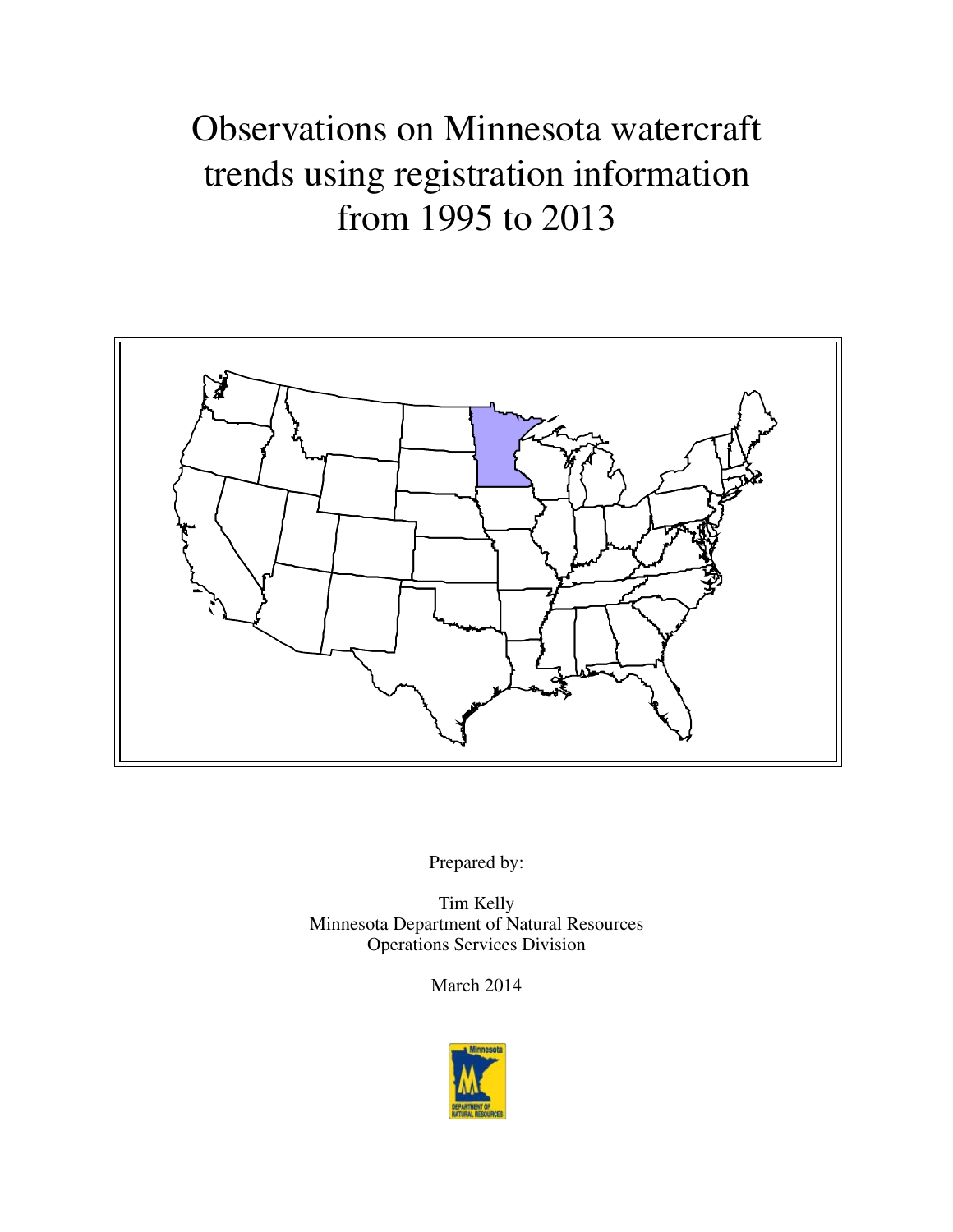# Observations on Minnesota watercraft trends using registration information from 1995 to 2013



Prepared by:

Tim Kelly Minnesota Department of Natural Resources Operations Services Division

March 2014

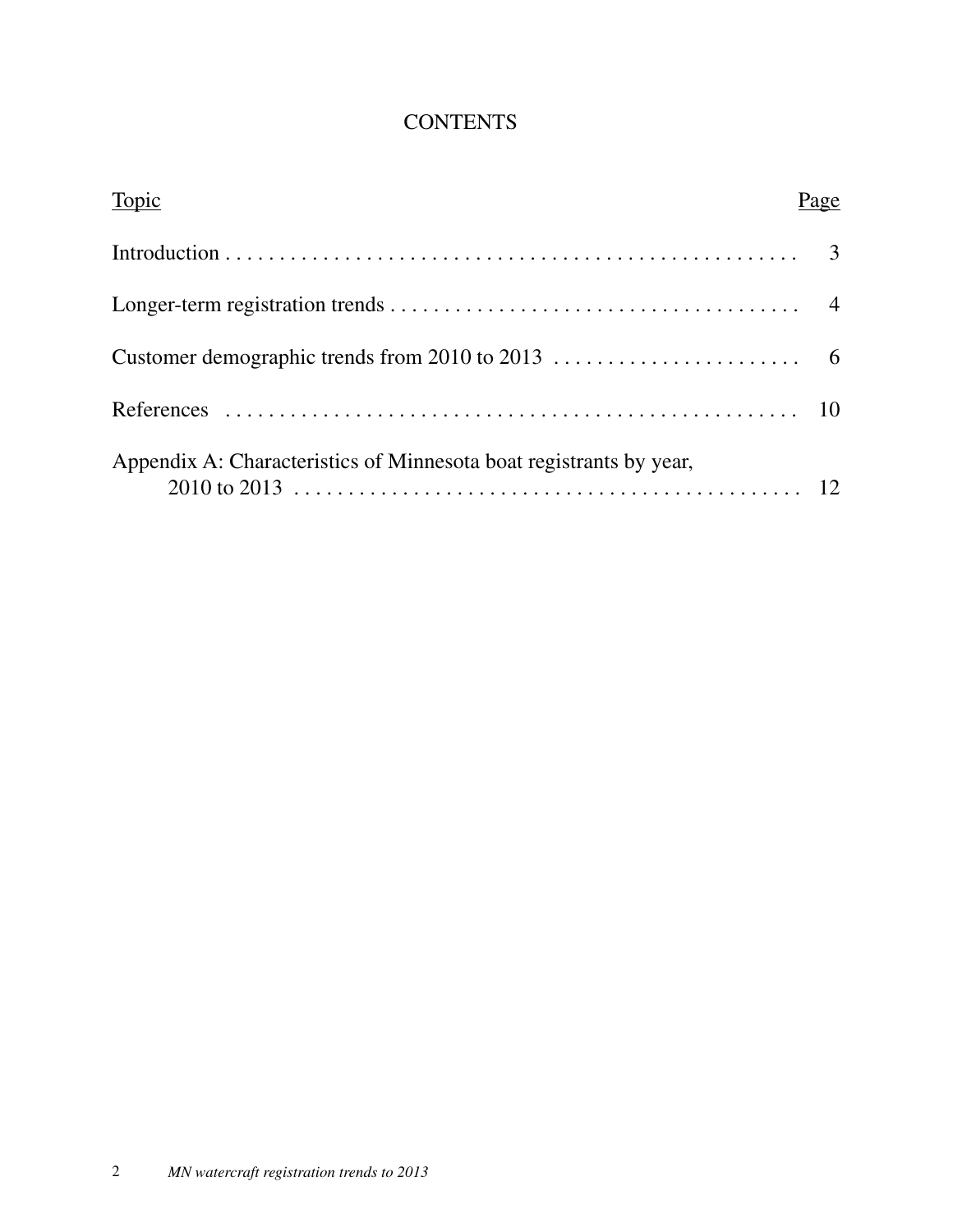### **CONTENTS**

| Topic                                                              | age |
|--------------------------------------------------------------------|-----|
|                                                                    |     |
|                                                                    |     |
|                                                                    |     |
|                                                                    |     |
| Appendix A: Characteristics of Minnesota boat registrants by year, |     |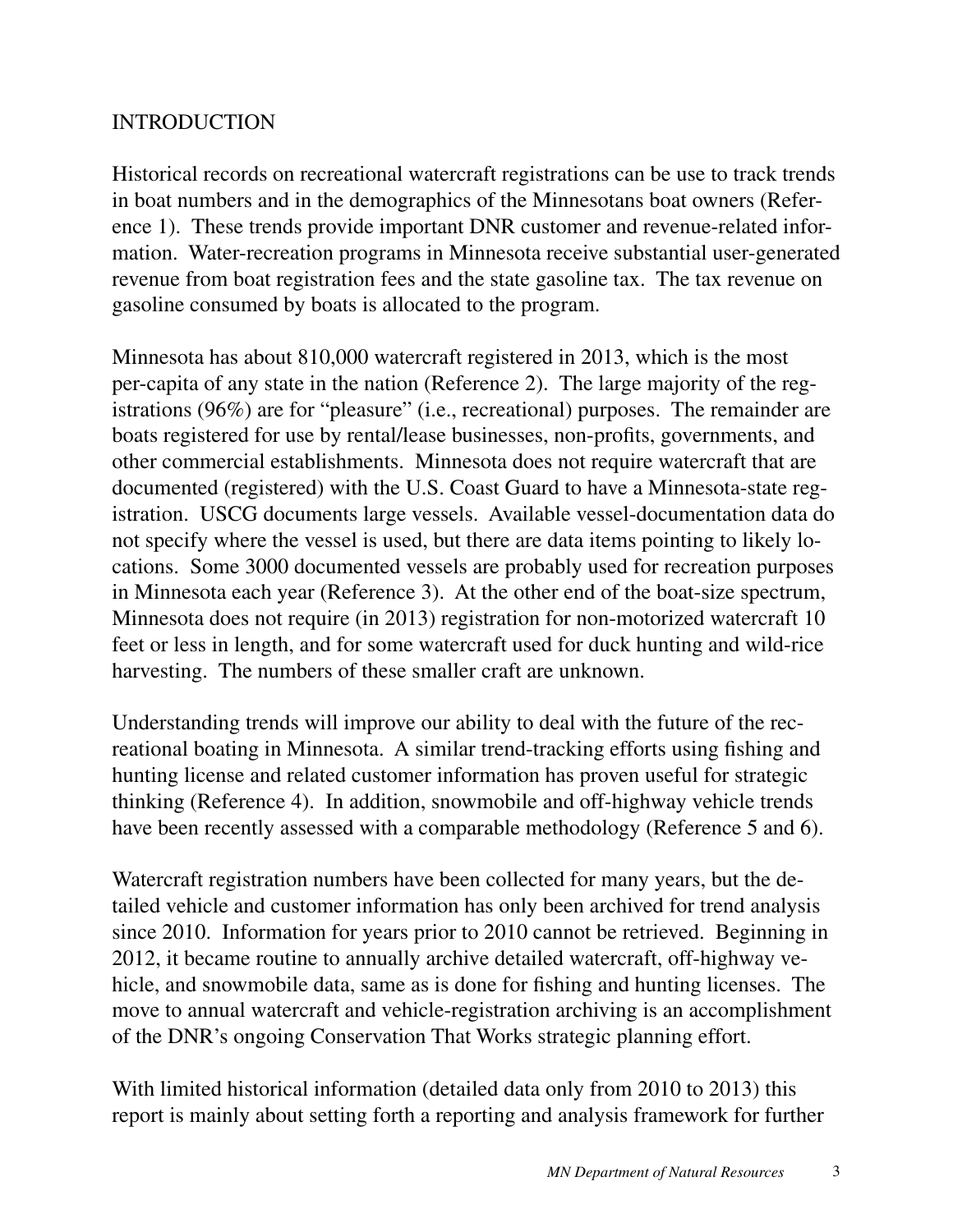### INTRODUCTION

Historical records on recreational watercraft registrations can be use to track trends in boat numbers and in the demographics of the Minnesotans boat owners (Reference 1). These trends provide important DNR customer and revenue-related information. Water-recreation programs in Minnesota receive substantial user-generated revenue from boat registration fees and the state gasoline tax. The tax revenue on gasoline consumed by boats is allocated to the program.

Minnesota has about 810,000 watercraft registered in 2013, which is the most per-capita of any state in the nation (Reference 2). The large majority of the registrations (96%) are for "pleasure" (i.e., recreational) purposes. The remainder are boats registered for use by rental/lease businesses, non-profits, governments, and other commercial establishments. Minnesota does not require watercraft that are documented (registered) with the U.S. Coast Guard to have a Minnesota-state registration. USCG documents large vessels. Available vessel-documentation data do not specify where the vessel is used, but there are data items pointing to likely locations. Some 3000 documented vessels are probably used for recreation purposes in Minnesota each year (Reference 3). At the other end of the boat-size spectrum, Minnesota does not require (in 2013) registration for non-motorized watercraft 10 feet or less in length, and for some watercraft used for duck hunting and wild-rice harvesting. The numbers of these smaller craft are unknown.

Understanding trends will improve our ability to deal with the future of the recreational boating in Minnesota. A similar trend-tracking efforts using fishing and hunting license and related customer information has proven useful for strategic thinking (Reference 4). In addition, snowmobile and off-highway vehicle trends have been recently assessed with a comparable methodology (Reference 5 and 6).

Watercraft registration numbers have been collected for many years, but the detailed vehicle and customer information has only been archived for trend analysis since 2010. Information for years prior to 2010 cannot be retrieved. Beginning in 2012, it became routine to annually archive detailed watercraft, off-highway vehicle, and snowmobile data, same as is done for fishing and hunting licenses. The move to annual watercraft and vehicle-registration archiving is an accomplishment of the DNR's ongoing Conservation That Works strategic planning effort.

With limited historical information (detailed data only from 2010 to 2013) this report is mainly about setting forth a reporting and analysis framework for further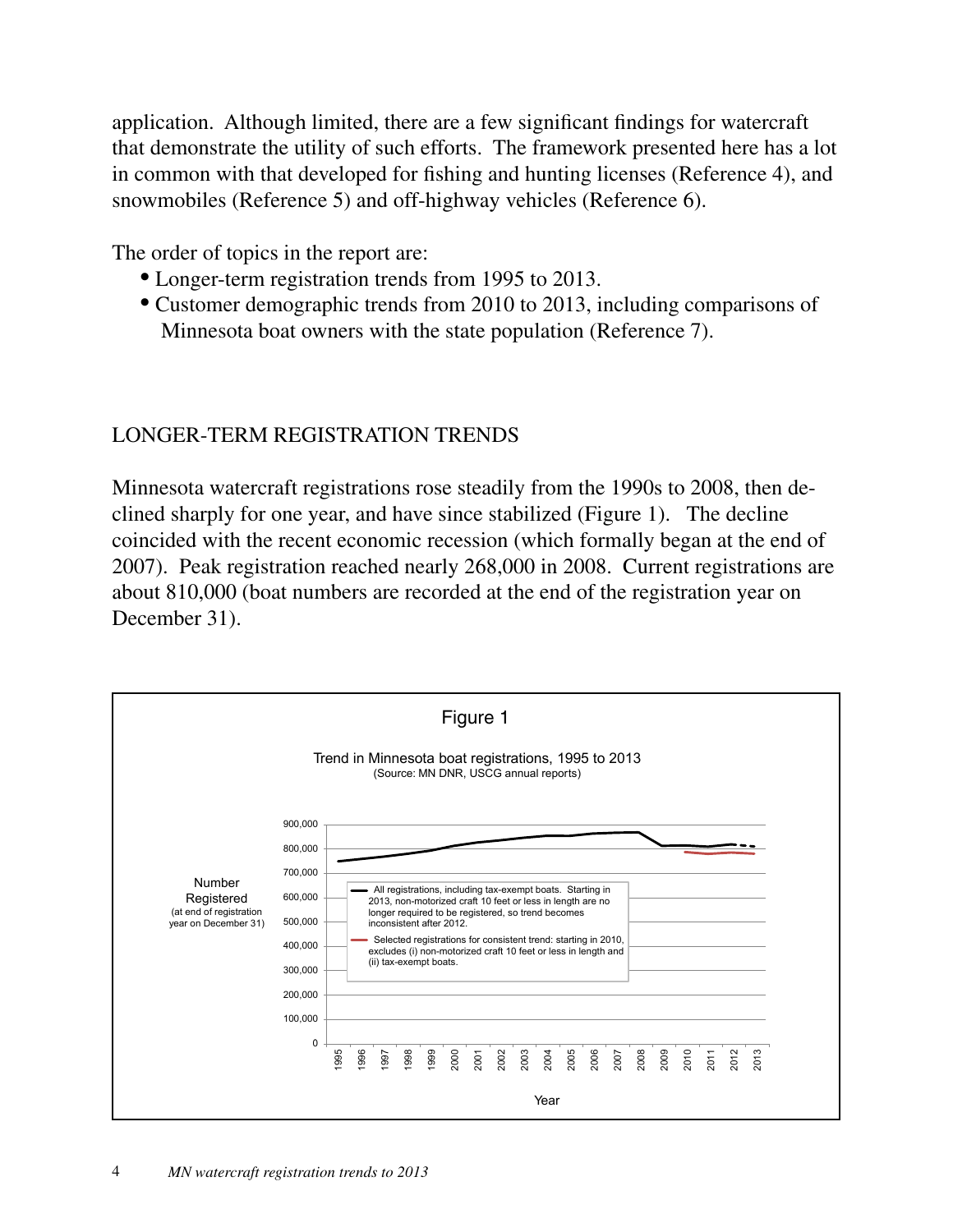application. Although limited, there are a few significant findings for watercraft that demonstrate the utility of such efforts. The framework presented here has a lot in common with that developed for fishing and hunting licenses (Reference 4), and snowmobiles (Reference 5) and off-highway vehicles (Reference 6).

The order of topics in the report are:

- Longer-term registration trends from 1995 to 2013.
- Customer demographic trends from 2010 to 2013, including comparisons of Minnesota boat owners with the state population (Reference 7).

### LONGER-TERM REGISTRATION TRENDS

Minnesota watercraft registrations rose steadily from the 1990s to 2008, then declined sharply for one year, and have since stabilized (Figure 1). The decline coincided with the recent economic recession (which formally began at the end of 2007). Peak registration reached nearly 268,000 in 2008. Current registrations are about 810,000 (boat numbers are recorded at the end of the registration year on December 31).

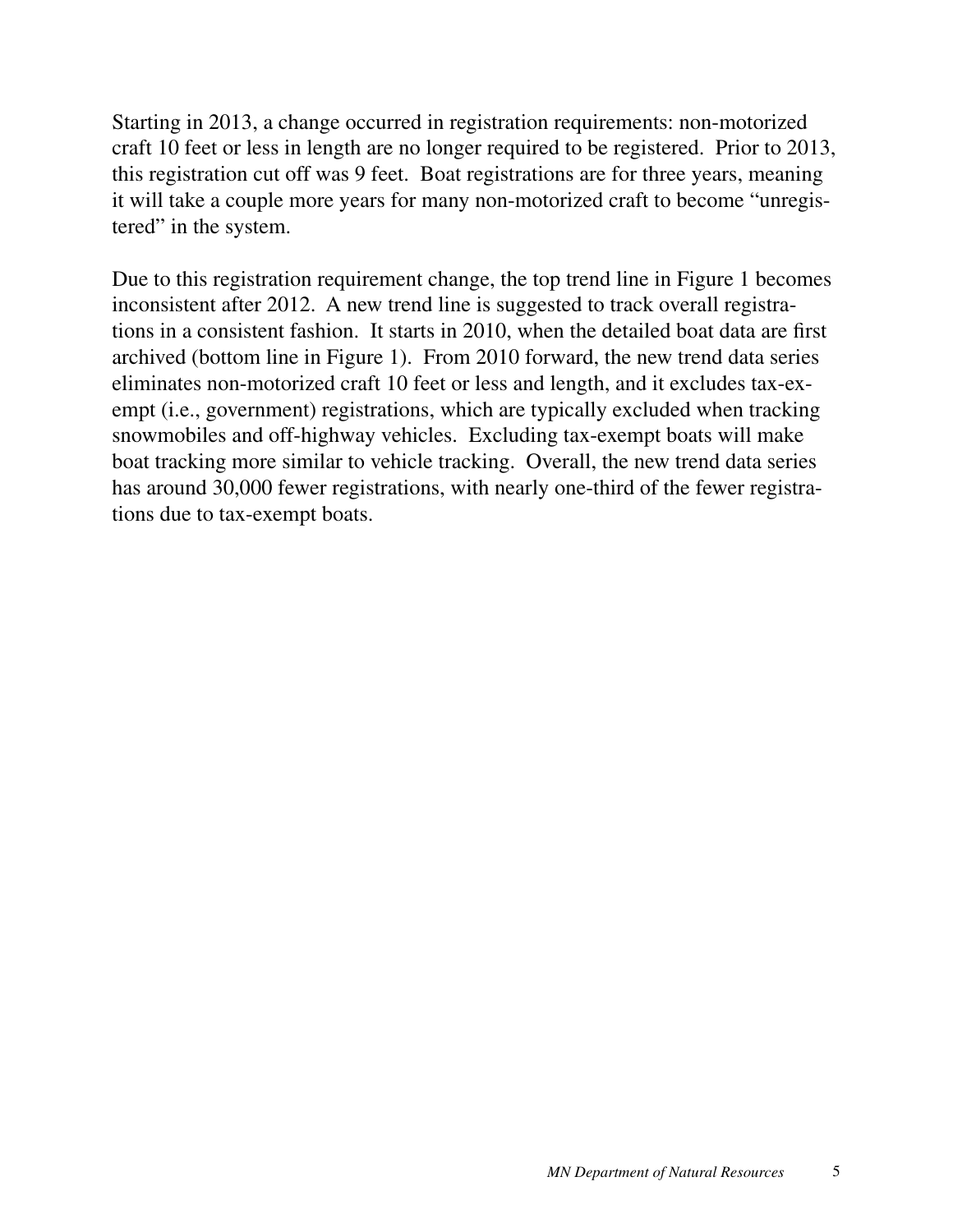Starting in 2013, a change occurred in registration requirements: non-motorized craft 10 feet or less in length are no longer required to be registered. Prior to 2013, this registration cut off was 9 feet. Boat registrations are for three years, meaning it will take a couple more years for many non-motorized craft to become "unregistered" in the system.

Due to this registration requirement change, the top trend line in Figure 1 becomes inconsistent after 2012. A new trend line is suggested to track overall registrations in a consistent fashion. It starts in 2010, when the detailed boat data are first archived (bottom line in Figure 1). From 2010 forward, the new trend data series eliminates non-motorized craft 10 feet or less and length, and it excludes tax-exempt (i.e., government) registrations, which are typically excluded when tracking snowmobiles and off-highway vehicles. Excluding tax-exempt boats will make boat tracking more similar to vehicle tracking. Overall, the new trend data series has around 30,000 fewer registrations, with nearly one-third of the fewer registrations due to tax-exempt boats.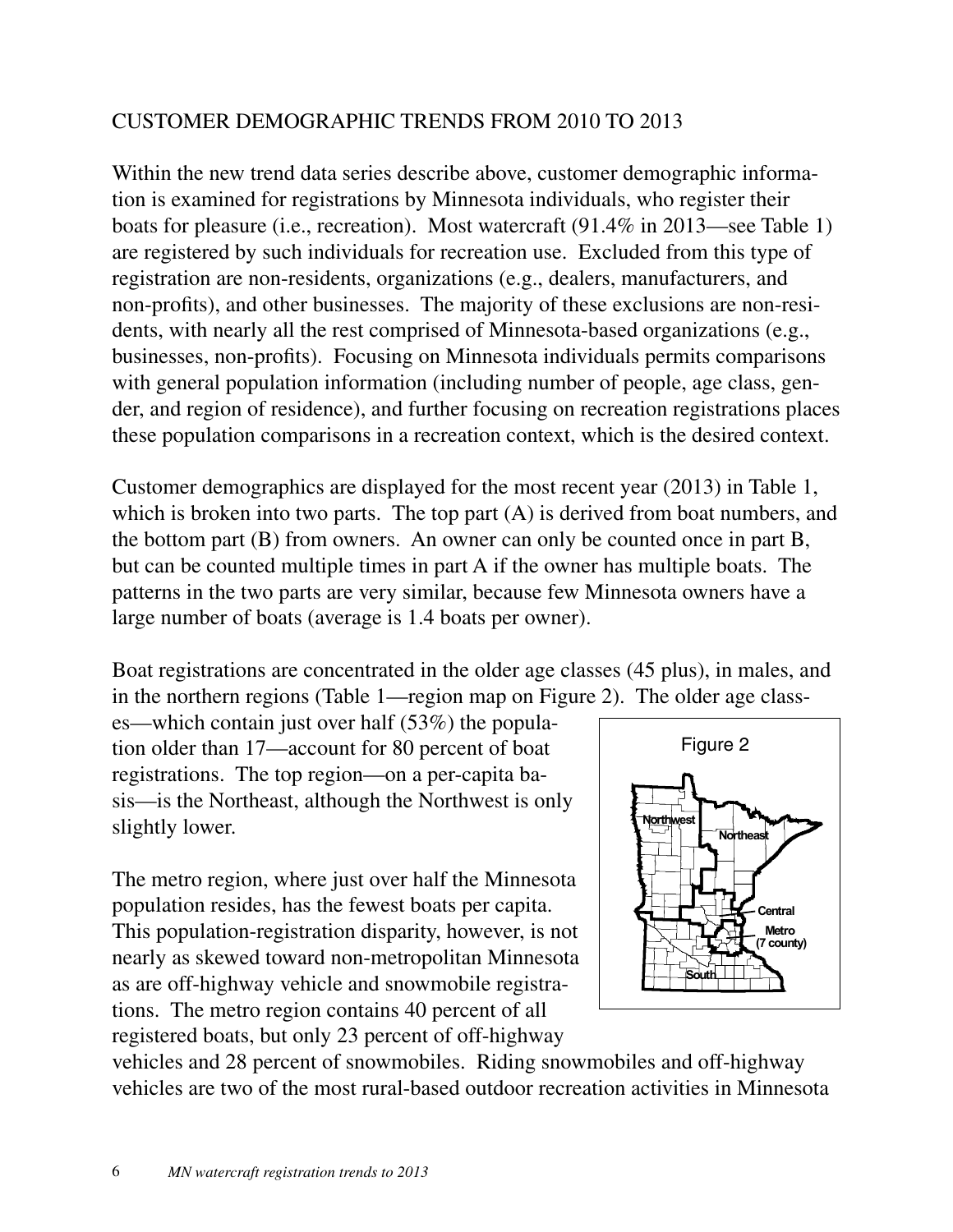### CUSTOMER DEMOGRAPHIC TRENDS FROM 2010 TO 2013

Within the new trend data series describe above, customer demographic information is examined for registrations by Minnesota individuals, who register their boats for pleasure (i.e., recreation). Most watercraft (91.4% in 2013—see Table 1) are registered by such individuals for recreation use. Excluded from this type of registration are non-residents, organizations (e.g., dealers, manufacturers, and non-profits), and other businesses. The majority of these exclusions are non-residents, with nearly all the rest comprised of Minnesota-based organizations (e.g., businesses, non-profits). Focusing on Minnesota individuals permits comparisons with general population information (including number of people, age class, gender, and region of residence), and further focusing on recreation registrations places these population comparisons in a recreation context, which is the desired context.

Customer demographics are displayed for the most recent year (2013) in Table 1, which is broken into two parts. The top part (A) is derived from boat numbers, and the bottom part (B) from owners. An owner can only be counted once in part B, but can be counted multiple times in part A if the owner has multiple boats. The patterns in the two parts are very similar, because few Minnesota owners have a large number of boats (average is 1.4 boats per owner).

Boat registrations are concentrated in the older age classes (45 plus), in males, and in the northern regions (Table 1—region map on Figure 2). The older age class-

es—which contain just over half (53%) the population older than 17—account for 80 percent of boat registrations. The top region—on a per-capita basis—is the Northeast, although the Northwest is only slightly lower.

The metro region, where just over half the Minnesota population resides, has the fewest boats per capita. This population-registration disparity, however, is not nearly as skewed toward non-metropolitan Minnesota as are off-highway vehicle and snowmobile registrations. The metro region contains 40 percent of all registered boats, but only 23 percent of off-highway



vehicles and 28 percent of snowmobiles. Riding snowmobiles and off-highway vehicles are two of the most rural-based outdoor recreation activities in Minnesota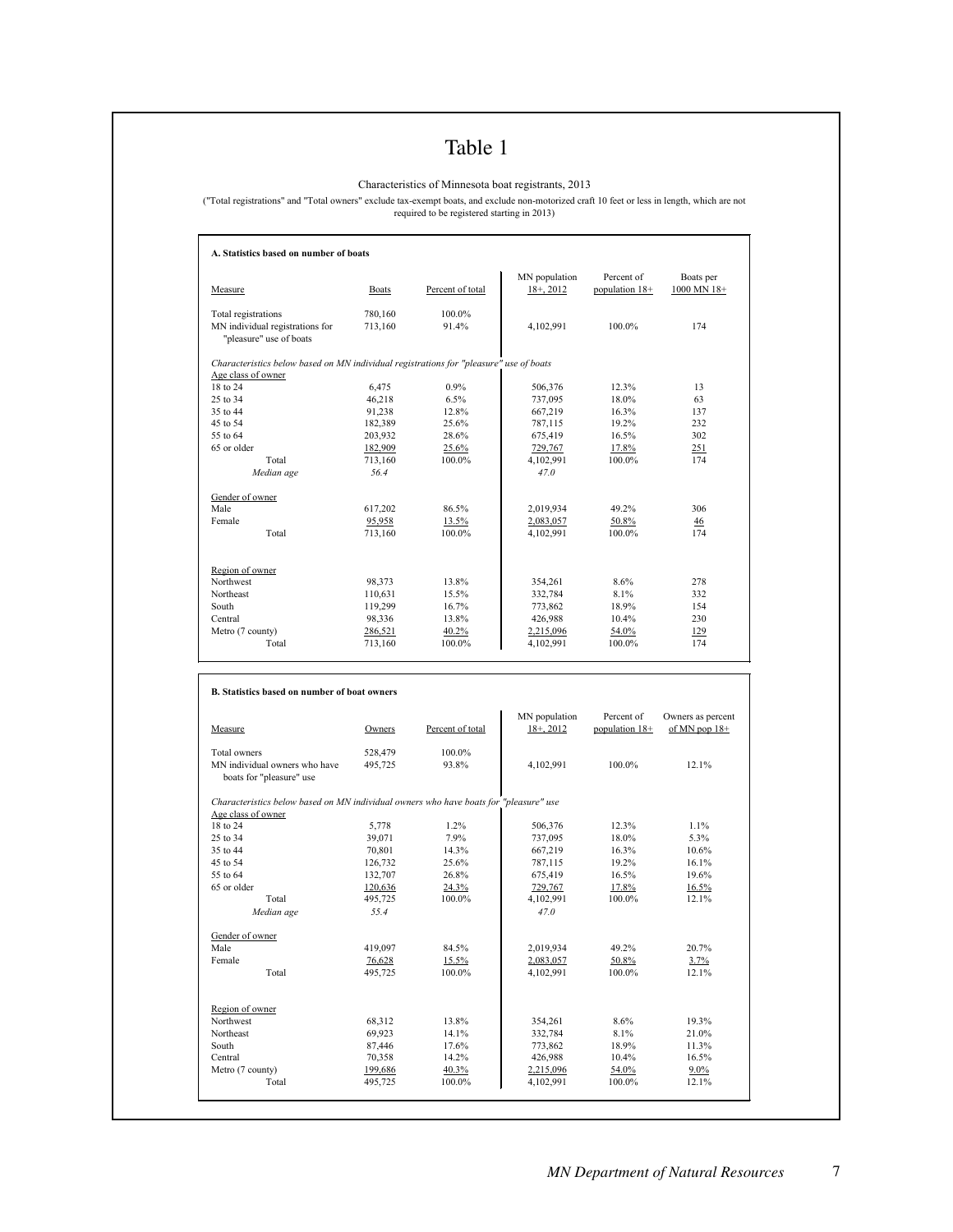### Table 1

Characteristics of Minnesota boat registrants, 2013

("Total registrations" and "Total owners" exclude tax-exempt boats, and exclude non-motorized craft 10 feet or less in length, which are not required to be registered starting in 2013)

| Measure                                                                                                                                                                                                                                                                                                                                                           | <b>Boats</b>       | Percent of total | MN population<br>$18 + 2012$  | Percent of<br>population 18+ | Boats per<br>1000 MN 18+             |
|-------------------------------------------------------------------------------------------------------------------------------------------------------------------------------------------------------------------------------------------------------------------------------------------------------------------------------------------------------------------|--------------------|------------------|-------------------------------|------------------------------|--------------------------------------|
|                                                                                                                                                                                                                                                                                                                                                                   | 780,160            | 100.0%           |                               |                              |                                      |
| Total registrations<br>MN individual registrations for<br>"pleasure" use of boats                                                                                                                                                                                                                                                                                 | 713,160            | 91.4%            | 4,102,991                     | 100.0%                       | 174                                  |
| Characteristics below based on MN individual registrations for "pleasure" use of boats                                                                                                                                                                                                                                                                            |                    |                  |                               |                              |                                      |
| Age class of owner<br>18 to 24                                                                                                                                                                                                                                                                                                                                    | 6,475              | 0.9%             | 506,376                       | 12.3%                        | 13                                   |
| 25 to 34                                                                                                                                                                                                                                                                                                                                                          | 46,218             | 6.5%             | 737,095                       | 18.0%                        | 63                                   |
| 35 to 44                                                                                                                                                                                                                                                                                                                                                          | 91,238             | 12.8%            | 667,219                       | 16.3%                        | 137                                  |
| 45 to 54                                                                                                                                                                                                                                                                                                                                                          | 182,389            | 25.6%            | 787,115                       | 19.2%                        | 232                                  |
| 55 to 64                                                                                                                                                                                                                                                                                                                                                          | 203,932            | 28.6%            | 675,419                       | 16.5%                        | 302                                  |
| 65 or older                                                                                                                                                                                                                                                                                                                                                       |                    |                  |                               |                              |                                      |
|                                                                                                                                                                                                                                                                                                                                                                   | 182,909            | 25.6%            | 729,767                       | 17.8%                        | 251                                  |
| Total                                                                                                                                                                                                                                                                                                                                                             | 713,160            | 100.0%           | 4,102,991                     | 100.0%                       | 174                                  |
| Median age                                                                                                                                                                                                                                                                                                                                                        | 56.4               |                  | 47.0                          |                              |                                      |
| Gender of owner<br>Male                                                                                                                                                                                                                                                                                                                                           |                    | 86.5%            |                               | 49.2%                        | 306                                  |
| Female                                                                                                                                                                                                                                                                                                                                                            | 617,202            | 13.5%            | 2,019,934                     |                              |                                      |
| Total                                                                                                                                                                                                                                                                                                                                                             | 95,958<br>713,160  | 100.0%           | 2,083,057<br>4,102,991        | 50.8%<br>100.0%              | 46<br>174                            |
|                                                                                                                                                                                                                                                                                                                                                                   |                    |                  |                               |                              |                                      |
| Region of owner                                                                                                                                                                                                                                                                                                                                                   |                    |                  |                               |                              |                                      |
| Northwest                                                                                                                                                                                                                                                                                                                                                         | 98,373             | 13.8%            | 354,261                       | 8.6%                         | 278                                  |
| Northeast                                                                                                                                                                                                                                                                                                                                                         | 110,631            | 15.5%            | 332,784                       | 8.1%                         | 332                                  |
| South                                                                                                                                                                                                                                                                                                                                                             | 119,299            | 16.7%            | 773,862                       | 18.9%                        | 154                                  |
| Central                                                                                                                                                                                                                                                                                                                                                           | 98,336             | 13.8%            | 426,988                       | 10.4%                        | 230                                  |
|                                                                                                                                                                                                                                                                                                                                                                   |                    |                  |                               | 54.0%                        | 129                                  |
|                                                                                                                                                                                                                                                                                                                                                                   |                    |                  |                               |                              |                                      |
| Total                                                                                                                                                                                                                                                                                                                                                             | 286,521<br>713,160 | 40.2%<br>100.0%  | 2,215,096<br>4,102,991        | 100.0%                       | 174                                  |
|                                                                                                                                                                                                                                                                                                                                                                   |                    |                  |                               |                              |                                      |
| Metro (7 county)<br><b>B.</b> Statistics based on number of boat owners<br>Measure                                                                                                                                                                                                                                                                                | Owners             | Percent of total | MN population<br>$18+$ , 2012 | Percent of<br>population 18+ | Owners as percent<br>of MN pop $18+$ |
|                                                                                                                                                                                                                                                                                                                                                                   | 528,479            | 100.0%           |                               |                              |                                      |
| boats for "pleasure" use                                                                                                                                                                                                                                                                                                                                          | 495,725            | 93.8%            | 4,102,991                     | 100.0%                       | 12.1%                                |
|                                                                                                                                                                                                                                                                                                                                                                   |                    |                  |                               |                              |                                      |
|                                                                                                                                                                                                                                                                                                                                                                   |                    |                  |                               |                              |                                      |
|                                                                                                                                                                                                                                                                                                                                                                   | 5,778              | 1.2%             | 506,376                       | 12.3%                        | 1.1%                                 |
|                                                                                                                                                                                                                                                                                                                                                                   | 39,071             | 7.9%             | 737,095                       | 18.0%                        | 5.3%                                 |
|                                                                                                                                                                                                                                                                                                                                                                   | 70,801             | 14.3%            | 667,219                       | 16.3%                        | 10.6%                                |
|                                                                                                                                                                                                                                                                                                                                                                   | 126,732            | 25.6%            | 787,115                       | 19.2%                        | 16.1%                                |
|                                                                                                                                                                                                                                                                                                                                                                   | 132,707            | 26.8%            | 675,419                       | 16.5%                        | 19.6%                                |
|                                                                                                                                                                                                                                                                                                                                                                   | 120,636            | 24.3%            | 729,767                       | 17.8%                        | 16.5%                                |
| Total                                                                                                                                                                                                                                                                                                                                                             | 495,725            | 100.0%           | 4,102,991                     | 100.0%                       | 12.1%                                |
| Median age                                                                                                                                                                                                                                                                                                                                                        | 55.4               |                  | 47.0                          |                              |                                      |
|                                                                                                                                                                                                                                                                                                                                                                   |                    |                  |                               |                              |                                      |
|                                                                                                                                                                                                                                                                                                                                                                   | 419,097            | 84.5%            | 2,019,934                     | 49.2%                        | 20.7%                                |
|                                                                                                                                                                                                                                                                                                                                                                   | 76,628             | 15.5%            | 2,083,057                     | 50.8%                        | 3.7%                                 |
| Total                                                                                                                                                                                                                                                                                                                                                             | 495,725            | 100.0%           | 4,102,991                     | 100.0%                       | 12.1%                                |
|                                                                                                                                                                                                                                                                                                                                                                   |                    |                  |                               |                              |                                      |
|                                                                                                                                                                                                                                                                                                                                                                   |                    |                  |                               |                              |                                      |
|                                                                                                                                                                                                                                                                                                                                                                   | 68,312             | 13.8%            | 354,261                       | 8.6%                         | 19.3%                                |
|                                                                                                                                                                                                                                                                                                                                                                   | 69,923             | 14.1%            | 332,784                       | 8.1%                         | 21.0%                                |
|                                                                                                                                                                                                                                                                                                                                                                   | 87,446             | 17.6%            | 773,862                       | 18.9%                        | 11.3%                                |
| Total owners<br>MN individual owners who have<br>Characteristics below based on MN individual owners who have boats for "pleasure" use<br>Age class of owner<br>18 to 24<br>25 to 34<br>35 to 44<br>45 to 54<br>55 to 64<br>65 or older<br>Gender of owner<br>Male<br>Female<br>Region of owner<br>Northwest<br>Northeast<br>South<br>Central<br>Metro (7 county) | 70,358<br>199,686  | 14.2%<br>40.3%   | 426,988<br>2,215,096          | 10.4%<br>54.0%               | 16.5%<br>$9.0\%$                     |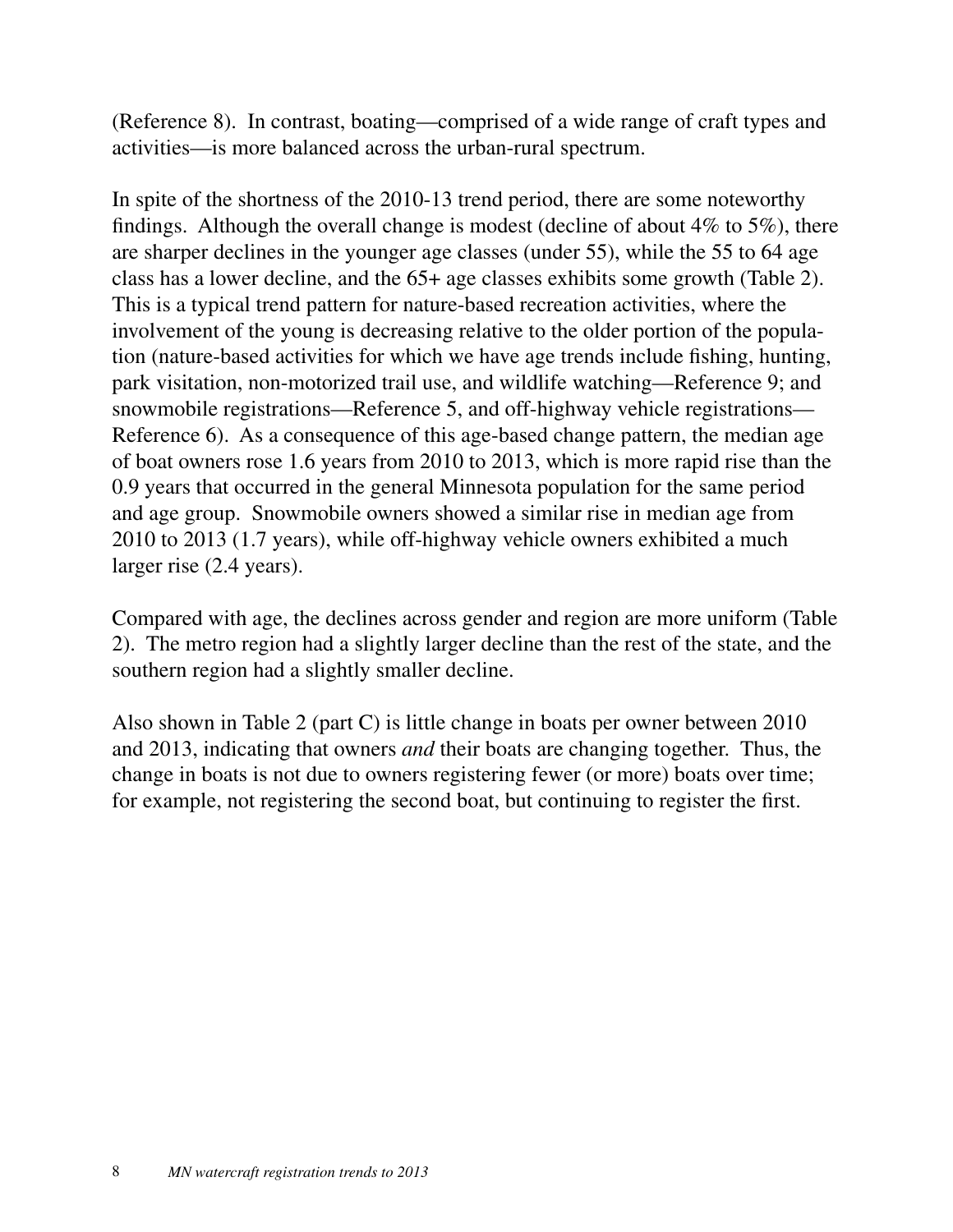(Reference 8). In contrast, boating—comprised of a wide range of craft types and activities—is more balanced across the urban-rural spectrum.

In spite of the shortness of the 2010-13 trend period, there are some noteworthy findings. Although the overall change is modest (decline of about  $4\%$  to  $5\%$ ), there are sharper declines in the younger age classes (under 55), while the 55 to 64 age class has a lower decline, and the 65+ age classes exhibits some growth (Table 2). This is a typical trend pattern for nature-based recreation activities, where the involvement of the young is decreasing relative to the older portion of the population (nature-based activities for which we have age trends include fishing, hunting, park visitation, non-motorized trail use, and wildlife watching—Reference 9; and snowmobile registrations—Reference 5, and off-highway vehicle registrations— Reference 6). As a consequence of this age-based change pattern, the median age of boat owners rose 1.6 years from 2010 to 2013, which is more rapid rise than the 0.9 years that occurred in the general Minnesota population for the same period and age group. Snowmobile owners showed a similar rise in median age from 2010 to 2013 (1.7 years), while off-highway vehicle owners exhibited a much larger rise (2.4 years).

Compared with age, the declines across gender and region are more uniform (Table 2). The metro region had a slightly larger decline than the rest of the state, and the southern region had a slightly smaller decline.

Also shown in Table 2 (part C) is little change in boats per owner between 2010 and 2013, indicating that owners *and* their boats are changing together. Thus, the change in boats is not due to owners registering fewer (or more) boats over time; for example, not registering the second boat, but continuing to register the first.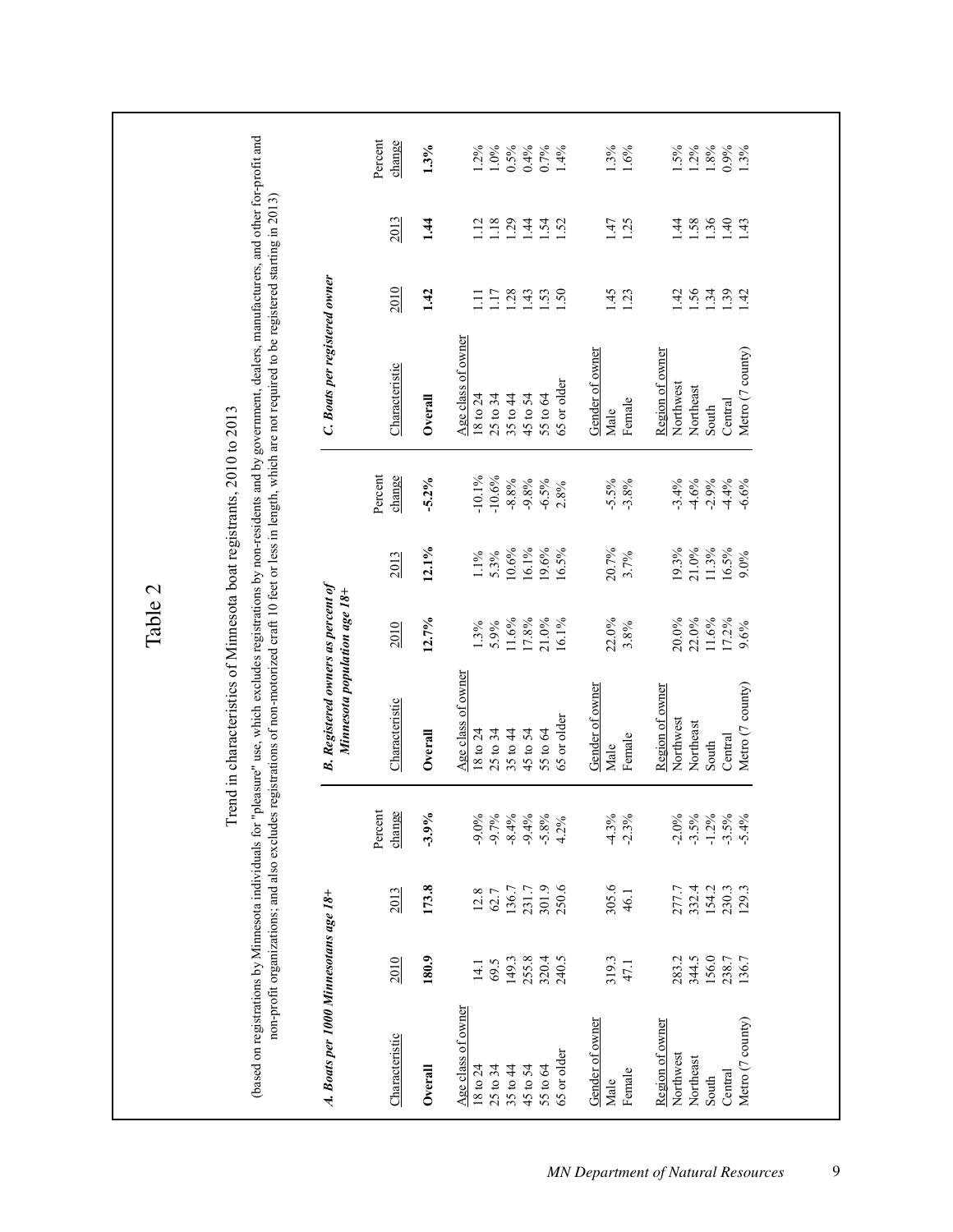|                                                                                               |                                                  |                                                  |                                                             |                                                                                                                                                                                                                                                                                                                                                                                             | Table 2                                             |                                                      |                                                                |                                                                                               |                                                                                  |                                                            |                                                       |
|-----------------------------------------------------------------------------------------------|--------------------------------------------------|--------------------------------------------------|-------------------------------------------------------------|---------------------------------------------------------------------------------------------------------------------------------------------------------------------------------------------------------------------------------------------------------------------------------------------------------------------------------------------------------------------------------------------|-----------------------------------------------------|------------------------------------------------------|----------------------------------------------------------------|-----------------------------------------------------------------------------------------------|----------------------------------------------------------------------------------|------------------------------------------------------------|-------------------------------------------------------|
|                                                                                               |                                                  | non-profit organizations; and also excludes      |                                                             | (based on registrations by Minnesota individuals for "pleasure" use, which excludes registrations by non-residents and by government, dealers, manufacturers, and other for-profit and<br>registrations of non-motorized craft 10 feet or less in length, which are not required to be registered starting in 2013)<br>Trend in characteristics of Minnesota boat registrants, 2010 to 2013 |                                                     |                                                      |                                                                |                                                                                               |                                                                                  |                                                            |                                                       |
| A. Boats per 1000 Minnesotans age 18+                                                         |                                                  |                                                  |                                                             | <b>B.</b> Registered owners as percent of<br>Minnesota population age 18+                                                                                                                                                                                                                                                                                                                   |                                                     |                                                      |                                                                | C. Boats per registered owner                                                                 |                                                                                  |                                                            |                                                       |
| Characteristic                                                                                | 2010                                             | 2013                                             | change<br>Percent                                           | Characteristic                                                                                                                                                                                                                                                                                                                                                                              | 2010                                                | 2013                                                 | Percent<br>change                                              | Characteristic                                                                                | 2010                                                                             | 2013                                                       | Percent<br>change                                     |
| Overall                                                                                       | 180.9                                            | 173.8                                            | $-3.9%$                                                     | Overall                                                                                                                                                                                                                                                                                                                                                                                     | 12.7%                                               | 12.1%                                                | $-5.2%$                                                        | Overall                                                                                       | 1.42                                                                             | 1.44                                                       | 1.3%                                                  |
| Age class of owner<br>65 or older<br>18 to 24<br>25 to 34<br>35 to 44<br>45 to 54<br>55 to 64 | 255.8<br>149.3<br>320.4<br>240.5<br>69.5<br>14.1 | 301.9<br>250.6<br>136.7<br>231.7<br>12.8<br>62.7 | $-9.0%$<br>$-9.7%$<br>$-8.4%$<br>$-9.4%$<br>$-5.8%$<br>4.2% | Age class of owner<br>65 or older<br>35 to 44<br>45 to 54<br>18 to 24<br>25 to 34<br>55 to 64                                                                                                                                                                                                                                                                                               | 11.6%<br>$17.8\%$<br>21.0%<br>16.1%<br>1.3%<br>5.9% | 10.6%<br>$16.1\%$<br>9.6%<br>6.5%<br>$1.1\%$<br>5.3% | $-10.1\%$<br>$-10.6%$<br>$-8.8%$<br>$-9.8%$<br>$-6.5%$<br>2.8% | Age class of owner<br>65 or older<br>25 to 34<br>35 to 44<br>45 to 54<br>55 to 64<br>18 to 24 | $1.17$<br>$1.28$<br>$\frac{43}{15}$<br>Ξ                                         | 112<br>1.18<br>$\overline{29}$<br>$\overline{)44}$<br>1.52 | $1.2\%$<br>$1.0\%$<br>0.5%<br>0.4%<br>$0.7\%$<br>1.4% |
| Gender of owner<br>Female<br>Male                                                             | 319.3<br>47.1                                    | 305.6<br>46.1                                    | $-4.3%$<br>$-2.3%$                                          | Gender of owner<br>Female<br>Male                                                                                                                                                                                                                                                                                                                                                           | 22.0%<br>3.8%                                       | 20.7%<br>3.7%                                        | $-5.5%$<br>$-3.8%$                                             | Gender of owner<br>Female<br>Male                                                             | 1.45<br>1.23                                                                     | 1.47<br>1.25                                               | 1.3%<br>1.6%                                          |
| Metro (7 county)<br>Region of owner<br>Northwest<br>Northeast<br>Central<br>South             | 344.5<br>156.0<br>238.7<br>136.7<br>283.2        | 332.4<br>154.2<br>230.3<br>277.7<br>129.3        | $-2.0%$<br>$-3.5%$<br>$-1.2\%$<br>$-3.5%$<br>$-5.4%$        | Metro (7 county)<br>Region of owner<br>Northwest<br>Northeast<br>Central<br>South                                                                                                                                                                                                                                                                                                           | 22.0%<br>20.0%<br>$11.6\%$<br>17.2%<br>9.6%         | $21.0\%$<br>11.3%<br>16.5%<br>19.3%<br>$9.0\%$       | $-3.4%$<br>$-4.6%$<br>$-2.9%$<br>$-4.4%$<br>$-6.6%$            | Metro (7 county)<br>Region of owner<br>Northwest<br>Northeast<br>Central<br>South             | 1.56<br>$\frac{34}{1} \cdot \frac{39}{1} \cdot \frac{42}{1}$<br>$\overline{142}$ | 1.36<br>$\overline{14}$<br>.58<br>1.40<br>$\overline{.43}$ | 1.5%<br>$1.2\%$<br>$\frac{1.8\%}{0.9\%}$<br>1.3%      |
|                                                                                               |                                                  |                                                  |                                                             |                                                                                                                                                                                                                                                                                                                                                                                             |                                                     |                                                      |                                                                |                                                                                               |                                                                                  |                                                            |                                                       |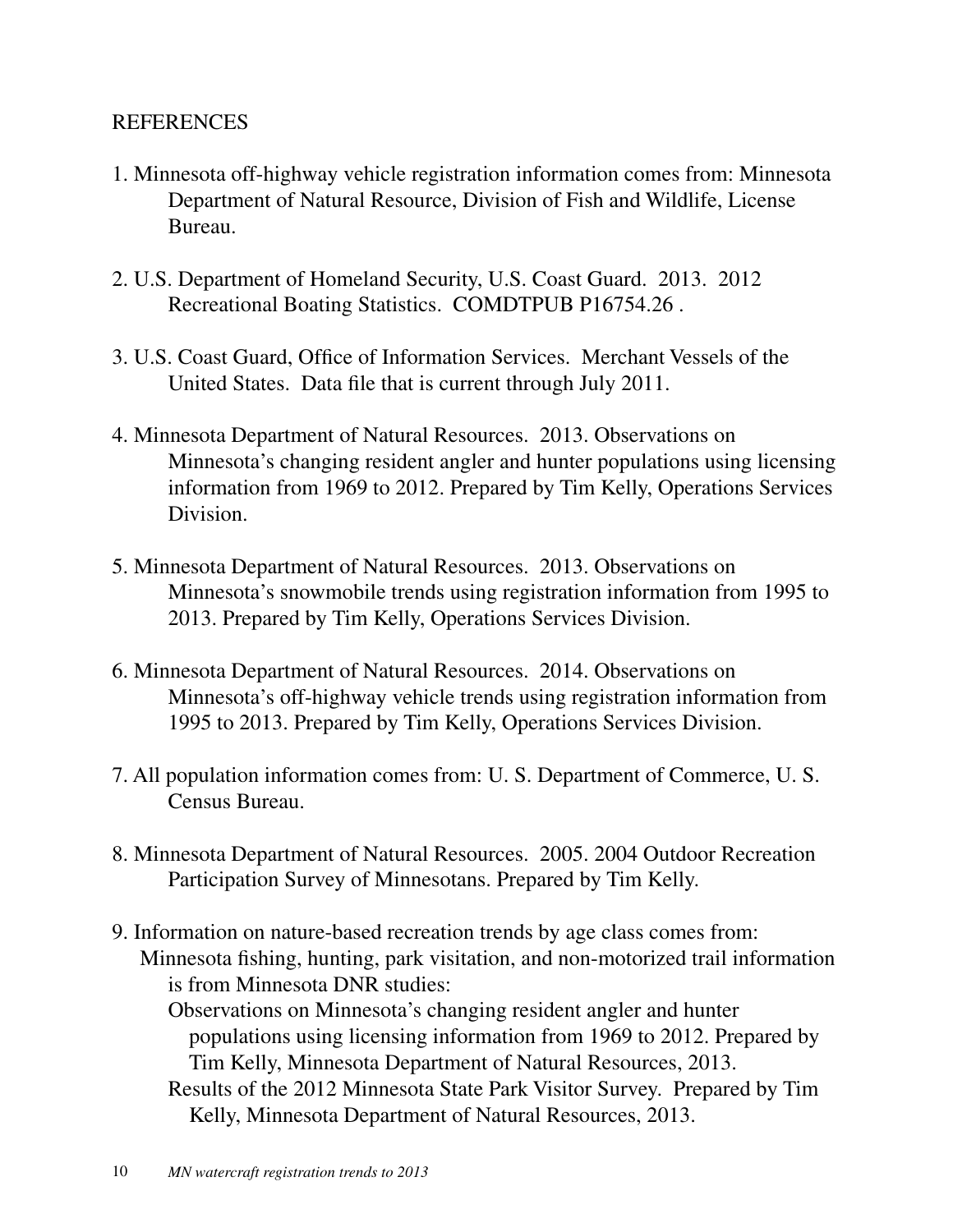#### **REFERENCES**

- 1. Minnesota off-highway vehicle registration information comes from: Minnesota Department of Natural Resource, Division of Fish and Wildlife, License Bureau.
- 2. U.S. Department of Homeland Security, U.S. Coast Guard. 2013. 2012 Recreational Boating Statistics. COMDTPUB P16754.26 .
- 3. U.S. Coast Guard, Office of Information Services. Merchant Vessels of the United States. Data file that is current through July 2011.
- 4. Minnesota Department of Natural Resources. 2013. Observations on Minnesota's changing resident angler and hunter populations using licensing information from 1969 to 2012. Prepared by Tim Kelly, Operations Services Division.
- 5. Minnesota Department of Natural Resources. 2013. Observations on Minnesota's snowmobile trends using registration information from 1995 to 2013. Prepared by Tim Kelly, Operations Services Division.
- 6. Minnesota Department of Natural Resources. 2014. Observations on Minnesota's off-highway vehicle trends using registration information from 1995 to 2013. Prepared by Tim Kelly, Operations Services Division.
- 7. All population information comes from: U. S. Department of Commerce, U. S. Census Bureau.
- 8. Minnesota Department of Natural Resources. 2005. 2004 Outdoor Recreation Participation Survey of Minnesotans. Prepared by Tim Kelly.
- 9. Information on nature-based recreation trends by age class comes from: Minnesota fishing, hunting, park visitation, and non-motorized trail information is from Minnesota DNR studies:

Observations on Minnesota's changing resident angler and hunter populations using licensing information from 1969 to 2012. Prepared by Tim Kelly, Minnesota Department of Natural Resources, 2013.

Results of the 2012 Minnesota State Park Visitor Survey. Prepared by Tim Kelly, Minnesota Department of Natural Resources, 2013.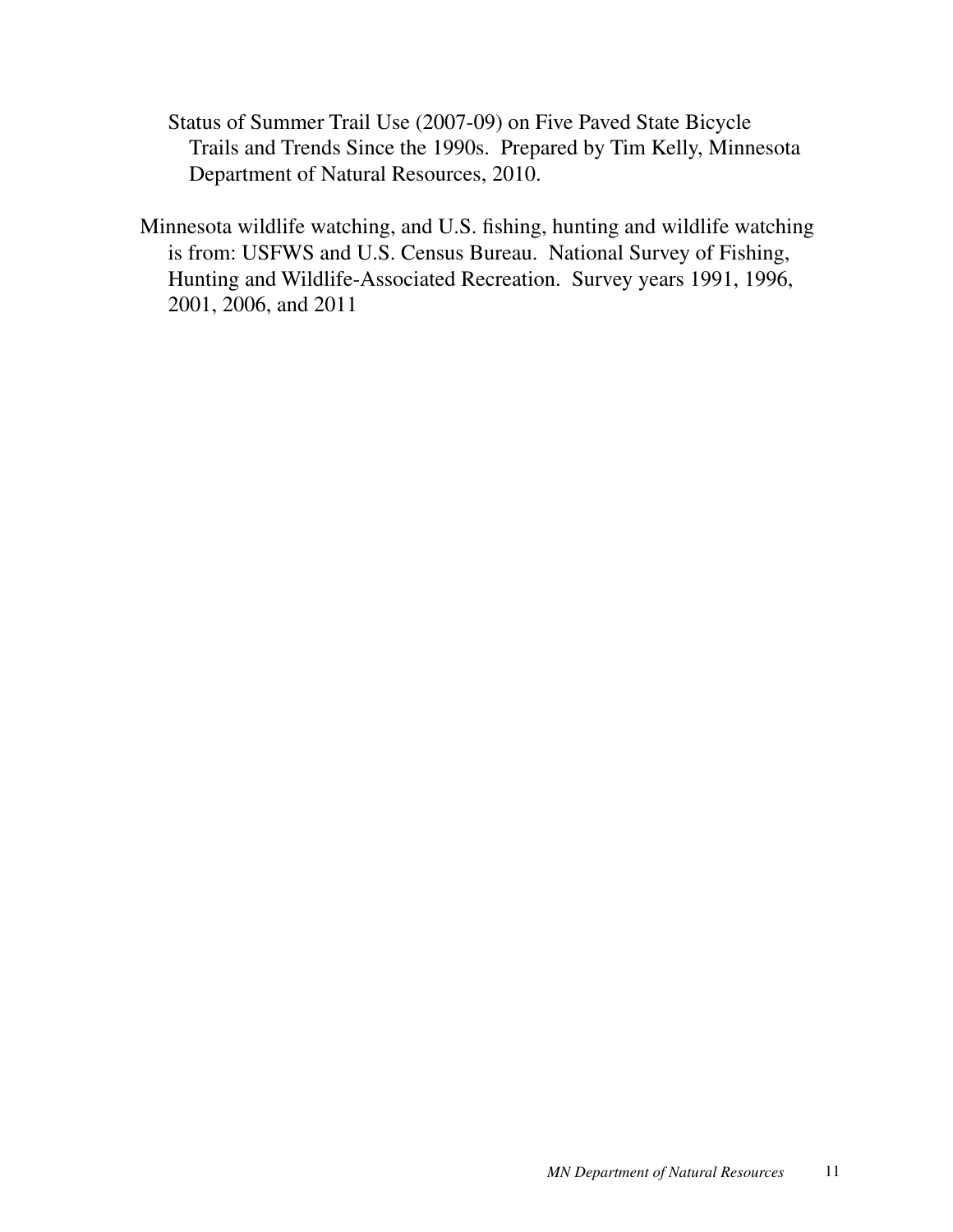Status of Summer Trail Use (2007-09) on Five Paved State Bicycle Trails and Trends Since the 1990s. Prepared by Tim Kelly, Minnesota Department of Natural Resources, 2010.

Minnesota wildlife watching, and U.S. fishing, hunting and wildlife watching is from: USFWS and U.S. Census Bureau. National Survey of Fishing, Hunting and Wildlife-Associated Recreation. Survey years 1991, 1996, 2001, 2006, and 2011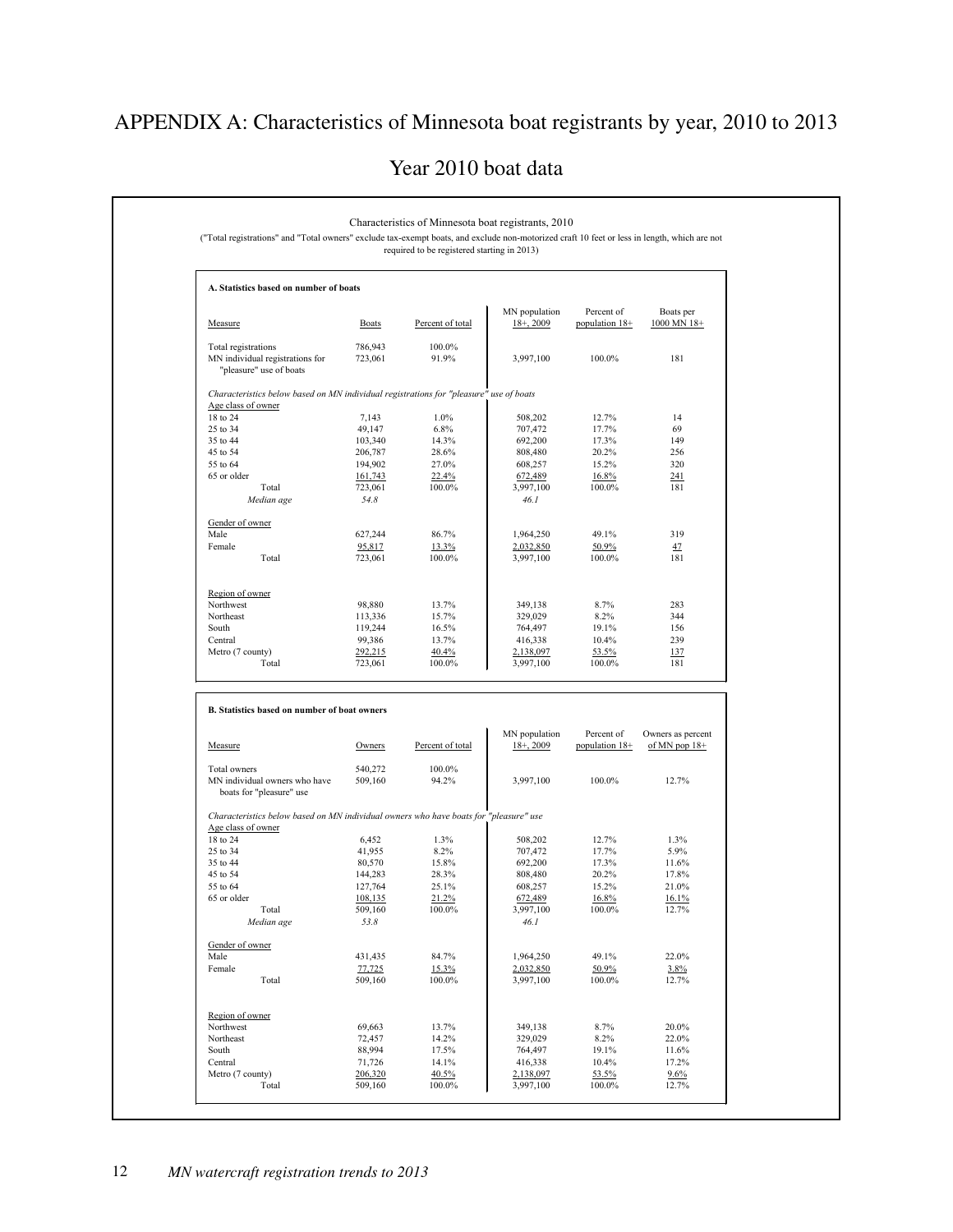## APPENDIX A: Characteristics of Minnesota boat registrants by year, 2010 to 2013

Year 2010 boat data

|                                                                                                              |                    | required to be registered starting in 2013) |                               |                              |                          |
|--------------------------------------------------------------------------------------------------------------|--------------------|---------------------------------------------|-------------------------------|------------------------------|--------------------------|
| A. Statistics based on number of boats                                                                       |                    |                                             |                               |                              |                          |
| Measure                                                                                                      | <b>Boats</b>       | Percent of total                            | MN population<br>$18+$ , 2009 | Percent of<br>population 18+ | Boats per<br>1000 MN 18+ |
| Total registrations                                                                                          | 786,943            | 100.0%                                      |                               |                              |                          |
| MN individual registrations for<br>"pleasure" use of boats                                                   | 723,061            | 91.9%                                       | 3,997,100                     | 100.0%                       | 181                      |
| Characteristics below based on MN individual registrations for "pleasure" use of boats<br>Age class of owner |                    |                                             |                               |                              |                          |
| 18 to 24                                                                                                     | 7,143              | 1.0%                                        | 508,202                       | 12.7%                        | 14                       |
| 25 to 34                                                                                                     | 49,147             | 6.8%                                        | 707,472                       | 17.7%                        | 69                       |
| 35 to 44                                                                                                     | 103,340            | 14.3%                                       | 692,200                       | 17.3%                        | 149                      |
| 45 to 54                                                                                                     | 206,787            | 28.6%                                       | 808,480                       | 20.2%                        | 256<br>320               |
| 55 to 64<br>65 or older                                                                                      | 194,902<br>161,743 | 27.0%<br>22.4%                              | 608,257<br>672,489            | 15.2%<br>16.8%               | 241                      |
| Total                                                                                                        | 723,061            | 100.0%                                      | 3,997,100                     | 100.0%                       | 181                      |
| Median age                                                                                                   | 54.8               |                                             | 46.1                          |                              |                          |
| Gender of owner                                                                                              |                    |                                             |                               |                              |                          |
| Male                                                                                                         | 627,244            | 86.7%                                       | 1,964,250                     | 49.1%                        | 319                      |
| Female                                                                                                       | 95,817             | 13.3%                                       | 2,032,850                     | 50.9%                        | 47<br>181                |
| Total                                                                                                        | 723,061            | 100.0%                                      | 3,997,100                     | 100.0%                       |                          |
| Region of owner                                                                                              |                    |                                             |                               |                              |                          |
| Northwest                                                                                                    | 98,880             | 13.7%                                       | 349,138                       | 8.7%                         | 283<br>344               |
| Northeast<br>South                                                                                           | 113,336<br>119,244 | 15.7%<br>16.5%                              | 329,029<br>764,497            | 8.2%<br>19.1%                | 156                      |
| Central                                                                                                      | 99,386             | 13.7%                                       | 416,338                       | 10.4%                        | 239                      |
|                                                                                                              | 292,215            |                                             |                               |                              |                          |
|                                                                                                              |                    | 40.4%                                       | 2,138,097                     | 53.5%                        | 137                      |
| Metro (7 county)<br>Total                                                                                    | 723,061            | 100.0%                                      | 3,997,100                     | 100.0%                       | 181                      |
| B. Statistics based on number of boat owners                                                                 |                    |                                             | MN population                 | Percent of                   | Owners as percent        |
| Measure                                                                                                      | Owners             | Percent of total                            | $18+$ , 2009                  | population 18+               | of MN pop $18+$          |
| Total owners                                                                                                 | 540,272            | 100.0%                                      |                               |                              |                          |
| MN individual owners who have<br>boats for "pleasure" use                                                    | 509,160            | 94.2%                                       | 3,997,100                     | 100.0%                       | 12.7%                    |
| Characteristics below based on MN individual owners who have boats for "pleasure" use                        |                    |                                             |                               |                              |                          |
| Age class of owner                                                                                           |                    |                                             |                               |                              |                          |
| 18 to 24<br>25 to 34                                                                                         | 6,452<br>41,955    | 1.3%<br>8.2%                                | 508,202<br>707,472            | 12.7%<br>17.7%               | 1.3%<br>5.9%             |
| 35 to 44                                                                                                     | 80,570             | 15.8%                                       | 692,200                       | 17.3%                        | 11.6%                    |
| 45 to 54                                                                                                     | 144,283            | 28.3%                                       | 808,480                       | 20.2%                        | 17.8%                    |
| 55 to 64                                                                                                     | 127,764            | 25.1%                                       | 608,257                       | 15.2%                        | 21.0%                    |
| 65 or older                                                                                                  | 108,135            | 21.2%                                       | 672,489                       | 16.8%                        | 16.1%                    |
| Total<br>Median age                                                                                          | 509,160<br>53.8    | 100.0%                                      | 3,997,100<br>46.1             | 100.0%                       | 12.7%                    |
| Gender of owner                                                                                              |                    |                                             |                               |                              |                          |
| Male                                                                                                         | 431,435            | 84.7%                                       | 1,964,250                     | 49.1%                        | 22.0%                    |
| Female                                                                                                       | 77,725             | 15.3%                                       | 2,032,850                     | 50.9%                        | 3.8%                     |
| Total                                                                                                        | 509,160            | 100.0%                                      | 3,997,100                     | 100.0%                       | 12.7%                    |
| Region of owner                                                                                              |                    |                                             |                               |                              |                          |
| Northwest                                                                                                    | 69,663             | 13.7%                                       | 349,138                       | 8.7%                         | 20.0%                    |
| Northeast                                                                                                    | 72,457             | 14.2%                                       | 329,029                       | 8.2%                         | 22.0%                    |
| South                                                                                                        | 88,994             | 17.5%                                       | 764,497                       | 19.1%                        | 11.6%                    |
| Central<br>Metro (7 county)                                                                                  | 71,726<br>206,320  | 14.1%<br>40.5%                              | 416,338<br>2,138,097          | 10.4%<br>53.5%               | 17.2%<br>9.6%            |

Г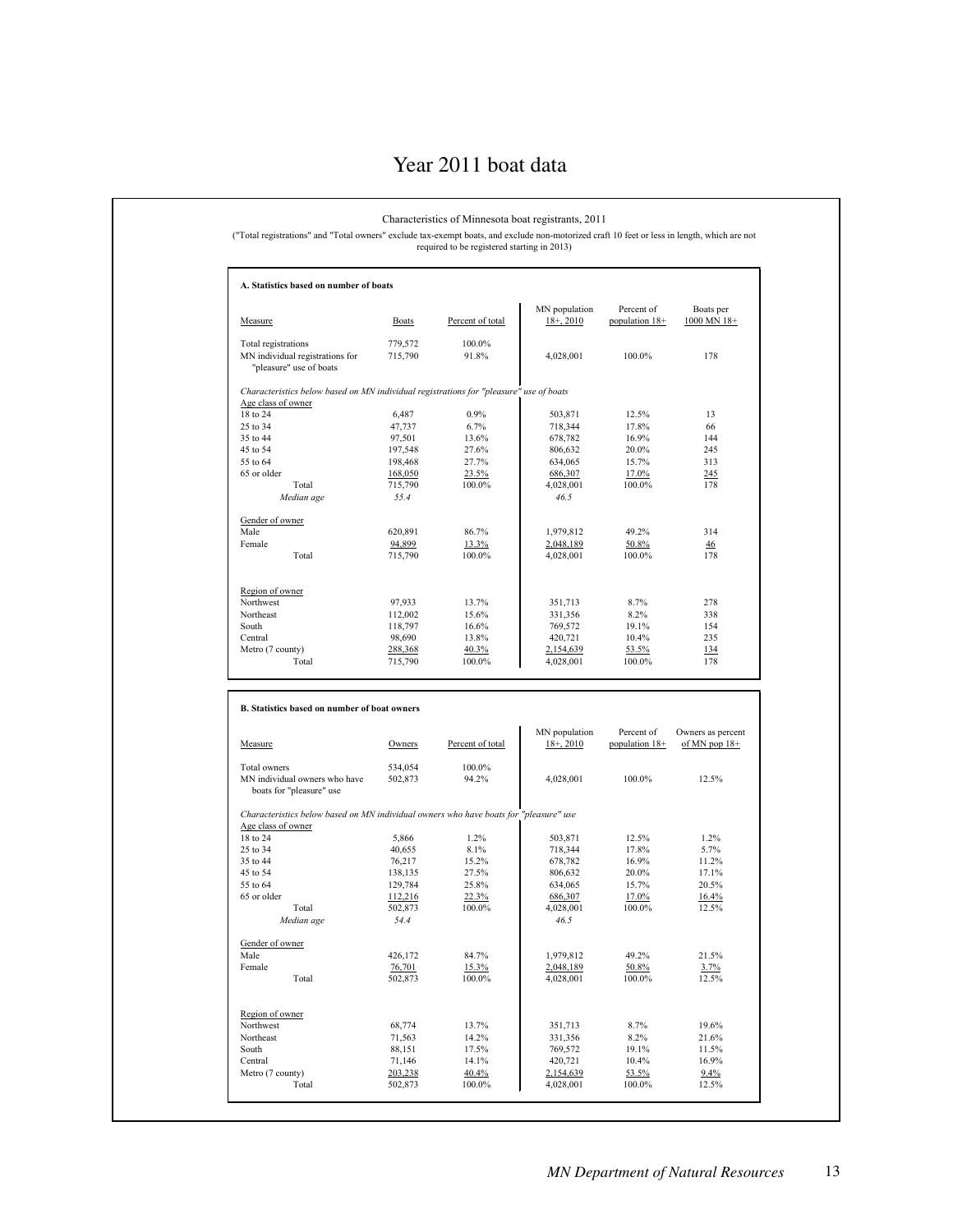#### Year 2011 boat data

#### Characteristics of Minnesota boat registrants, 2011

("Total registrations" and "Total owners" exclude tax-exempt boats, and exclude non-motorized craft 10 feet or less in length, which are not required to be registered starting in 2013)

| Measure                                                                                | Boats              | Percent of total | MN population<br>$18+$ , 2010 | Percent of<br>population 18+ | Boats per<br>1000 MN 18+ |
|----------------------------------------------------------------------------------------|--------------------|------------------|-------------------------------|------------------------------|--------------------------|
| Total registrations                                                                    | 779,572            | 100.0%           |                               |                              |                          |
| MN individual registrations for                                                        | 715,790            | 91.8%            | 4,028,001                     | 100.0%                       | 178                      |
| "pleasure" use of boats                                                                |                    |                  |                               |                              |                          |
| Characteristics below based on MN individual registrations for "pleasure" use of boats |                    |                  |                               |                              |                          |
| Age class of owner                                                                     |                    | 0.9%             |                               |                              | 13                       |
| 18 to 24<br>25 to 34                                                                   | 6,487              | 6.7%             | 503,871                       | 12.5%<br>17.8%               |                          |
| 35 to 44                                                                               | 47,737<br>97,501   | 13.6%            | 718,344<br>678,782            | 16.9%                        | 66<br>144                |
| 45 to 54                                                                               | 197,548            | 27.6%            | 806,632                       | 20.0%                        | 245                      |
| 55 to 64                                                                               |                    | 27.7%            |                               | 15.7%                        | 313                      |
| 65 or older                                                                            | 198,468<br>168,050 | 23.5%            | 634,065<br>686,307            | 17.0%                        | 245                      |
| Total                                                                                  | 715,790            | 100.0%           | 4,028,001                     | 100.0%                       | 178                      |
| Median age                                                                             | 55.4               |                  | 46.5                          |                              |                          |
|                                                                                        |                    |                  |                               |                              |                          |
| Gender of owner                                                                        |                    |                  |                               |                              |                          |
| Male                                                                                   | 620,891            | 86 7%            | 1,979,812                     | 49.2%                        | 314                      |
| Female                                                                                 | 94,899             | 13.3%            | 2,048,189                     | 50.8%                        | 46                       |
| Total                                                                                  | 715,790            | 100.0%           | 4,028,001                     | 100.0%                       | 178                      |
|                                                                                        |                    |                  |                               |                              |                          |
| Region of owner<br>Northwest                                                           | 97,933             | 13.7%            | 351,713                       | 8.7%                         | 278                      |
| Northeast                                                                              | 112,002            | 15.6%            | 331,356                       | 8.2%                         | 338                      |
| South                                                                                  | 118,797            | 16.6%            | 769,572                       | 19.1%                        | 154                      |
| Central                                                                                | 98,690             | 13.8%            | 420,721                       | 10.4%                        | 235                      |
| Metro (7 county)                                                                       | 288,368            | 40.3%            | 2,154,639                     | 53.5%                        | 134                      |
| Total                                                                                  | 715,790            | 100.0%           | 4,028,001                     | 100.0%                       | 178                      |
| B. Statistics based on number of boat owners                                           |                    |                  | MN population                 | Percent of                   | Owners as percent        |
| Measure                                                                                | Owners             | Percent of total | $18 + 2010$                   | population 18+               | of MN pop $18+$          |
| Total owners                                                                           | 534,054            | 100.0%           |                               |                              |                          |
| MN individual owners who have<br>boats for "pleasure" use                              | 502,873            | 94.2%            | 4,028,001                     | 100.0%                       | 12.5%                    |
| Characteristics below based on MN individual owners who have boats for "pleasure" use  |                    |                  |                               |                              |                          |
| Age class of owner                                                                     |                    |                  |                               |                              |                          |
| 18 to 24                                                                               | 5,866              | 1.2%             | 503,871                       | 12.5%                        | 1.2%                     |
| 25 to 34                                                                               | 40,655             | 8.1%             | 718,344                       | 17.8%                        | 5.7%                     |
| 35 to 44                                                                               | 76,217             | 15.2%            | 678,782                       | 16.9%                        | 11.2%                    |
| 45 to 54                                                                               | 138,135            | 27.5%            | 806,632                       | 20.0%                        | 17.1%                    |
| 55 to 64                                                                               | 129,784            | 25.8%            | 634,065                       | 15.7%                        | 20.5%                    |
| 65 or older                                                                            | 112,216            | 22.3%            | 686,307                       | 17.0%                        | 16.4%                    |
| Total                                                                                  | 502,873            | 100.0%           | 4,028,001                     | 100.0%                       | 12.5%                    |
| Median age                                                                             | 54.4               |                  | 46.5                          |                              |                          |
|                                                                                        |                    |                  |                               |                              |                          |
|                                                                                        |                    |                  |                               |                              |                          |
|                                                                                        | 426,172            | 84.7%            | 1,979,812                     | 49.2%                        | 21.5%                    |
| Gender of owner<br>Male<br>Female<br>Total                                             | 76,701<br>502,873  | 15.3%<br>100.0%  | 2,048,189<br>4,028,001        | 50.8%<br>100.0%              | 3.7%<br>12.5%            |

Region of owner Northwest 68,774 13.7% 351,713 8.7% 19.6% Northeast 21.563 14.2% 331,356 8.2% 21.6% South 88,151 17.5% 769,572 19.1% 11.5% Central 20,721 10.4% 16.9% 71,146 14.1% 16.9% Metro (7 county)<br>
Metro (7 county)<br>
Metro (7 county)<br>
203,238<br>
21.6% 14.2% 331,356<br>
21.6% 331,356<br>
21.5% 331,356<br>
2.6% 9.2% 19.1% 11.5%<br>
203,238<br>
203,238<br>
203,238<br>
203,238<br>
203,238<br>
203,238<br>
200,0% 2,154,639<br>
203,238<br>
200,

Total 502,873 100.0% 4,028,001 100.0% 12.5%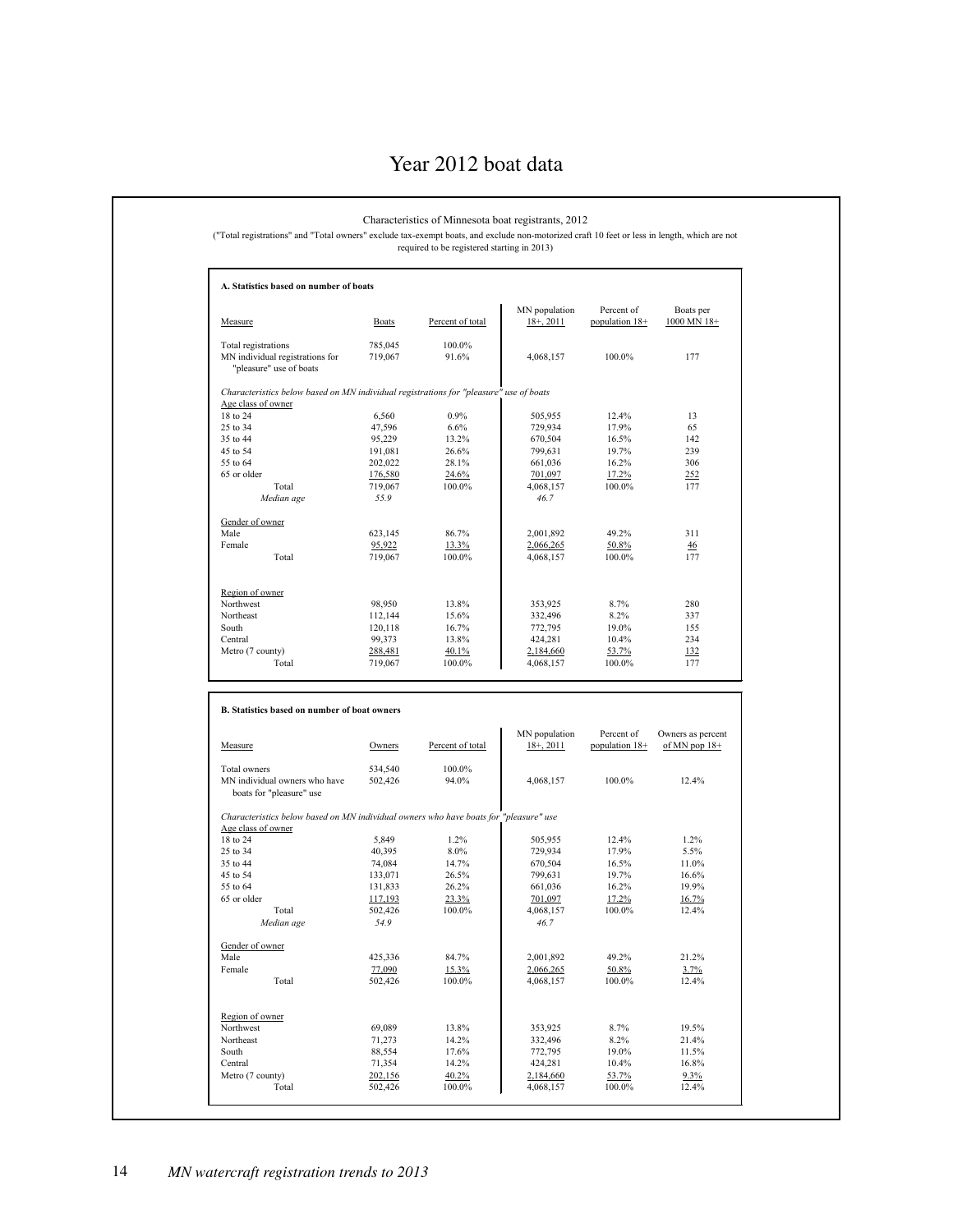#### Year 2012 boat data

#### **A. Statistics based on number of boats** MN population Percent of Boats per<br>18+, 2011 population 18+ 1000 MN 18+ Measure Boats Percent of total Total registrations  $785,045$  100.0%<br>MN individual registrations for 719,067 91.6% MN individual registrations for  $719,067$  91.6%  $4,068,157$  100.0% 177 "pleasure" use of boats *Characteristics below based on MN individual registrations for "pleasure" use of boats* Age class of owner<br>18 to 24 18 to 24 6,560 0.9% 655,955 12.4% 13 25 to 34 **47,596** 6.6% 729,934 17.9% 65 35 to 44 95,229 13.2% 670,504 16.5% 142 45 to 54 191,081 26.6% 799,631 19.7% 239 55 to 64 202,022 28.1% 661,036 16.2% 306 65 or older 176,580 24.6% 701,097 17.2% 252 Total 719,067 100.0% 4,068,157 100.0% 177 *Median age 55.9 46.7* Gender of owner<br>Male Male 623,145 86.7% 2,001,892 49.2% 311 Female 2,066,265 50.8% 30.8% 30.8% 30.8% 30.8% 30.8% 30.8% 30.8% 46 Total 719,067 100.0% 4,068,157 100.0% 177 Region of owner<br>Northwest Northwest 280 98,950 13.8% 353,925 8.7% 280 Northeast 112,144 15.6% 332,496 8.2% 337 South 120,118 16.7% 772,795 19.0% 155 Central 234 99,373 13.8% 424,281 10.4% 234 Metro (7 county) 288,481 40.1% 2,184,660 53.7% 132<br>Total 719,067 100.0% 4,068,157 100.0% 177 Total 719,067 100.0% 4,068,157 100.0% 177 **B. Statistics based on number of boat owners** MN population Percent of Owners as percent Measure **C**wners Percent of total  $18+$ , 2011 population  $18+$  of MN pop  $18+$ Total owners 534,540 100.0%<br>MN individual owners who have 502,426 94.0% MN individual owners who have  $502,426$  94.0%  $4,068,157$  100.0% 12.4% boats for "pleasure" use *Characteristics below based on MN individual owners who have boats for "pleasure" use* Age class of owner<br>18 to 24 18 to 24 5,849 1.2% 505,955 12.4% 1.2% 25 to 34 **40,395** 8.0% 729,934 17.9% 5.5% 35 to 44 74,084 14.7% 670,504 16.5% 11.0% 45 to 54 133,071 26.5% 799,631 19.7% 16.6% 55 to 64 131,833 26.2% 661,036 16.2% 19.9% 65 or older 117,193 23.3% 701,097 17.2% 16.7% Total 502,426 100.0% 4,068,157 100.0% 12.4% *Median age 54.9 46.7* Gender of owner<br>Male Male 425,336 84.7% 2,001,892 49.2% 21.2% Female 2,066,265 50.8% 3.7% 3.7% Total 502,426 100.0% 4,068,157 100.0% 12.4% Region of owner Northwest 69,089 13.8% 353,925 8.7% 19.5% Northeast 21,273 14.2% 332,496 8.2% 21.4% South 88,554 17.6% 772,795 19.0% 11.5% Characteristics of Minnesota boat registrants, 2012 ("Total registrations" and "Total owners" exclude tax-exempt boats, and exclude non-motorized craft 10 feet or less in length, which are not required to be registered starting in 2013)

Central 71,354 14.2% 424,281 10.4% 16.8% Metro (7 county)  $\begin{array}{cccc} 202,156 & 40.2\% & 2.184,660 & 53.7\% \\ 70 \text{d} & 502,426 & 100.0\% & 4,068,157 & 100.0\% \end{array}$   $\begin{array}{cccc} 53.7\% & 9.3\% \\ 12.4\% & 100.0\% & 12.4\% \\ 12.4\% & 100.0\% & 12.4\% \\ \end{array}$ Total 502,426 100.0% 4,068,157 100.0% 12.4%